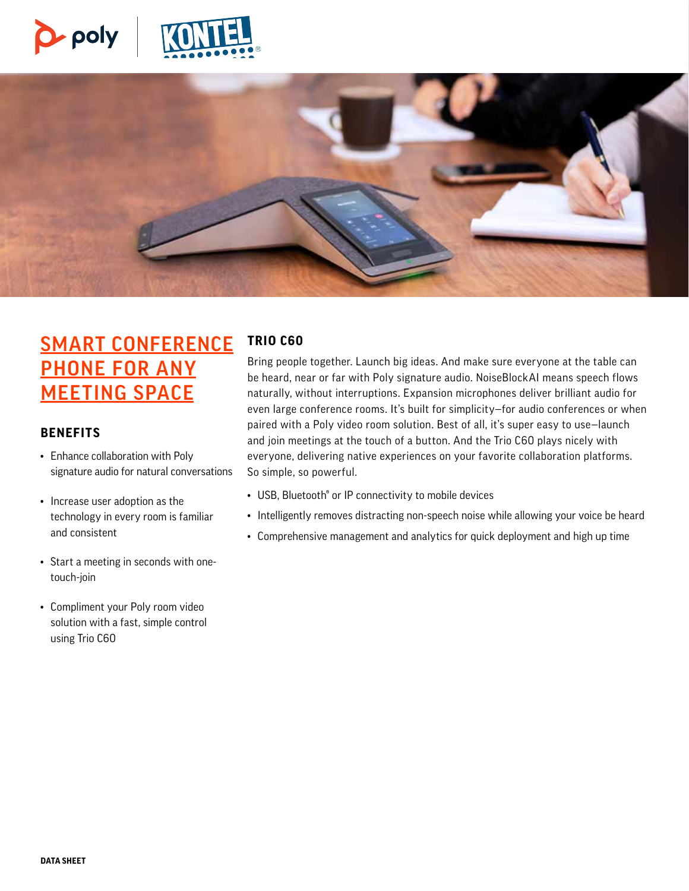



# **SMART CONFERENCE PHONE FOR ANY MEETING SPACE**

# **BENEFITS**

- Enhance collaboration with Poly signature audio for natural conversations
- Increase user adoption as the technology in every room is familiar and consistent
- Start a meeting in seconds with onetouch-join
- Compliment your Poly room video solution with a fast, simple control using Trio C60

# **TRIO C60**

Bring people together. Launch big ideas. And make sure everyone at the table can be heard, near or far with Poly signature audio. NoiseBlockAI means speech flows naturally, without interruptions. Expansion microphones deliver brilliant audio for even large conference rooms. It's built for simplicity—for audio conferences or when paired with a Poly video room solution. Best of all, it's super easy to use—launch and join meetings at the touch of a button. And the Trio C60 plays nicely with everyone, delivering native experiences on your favorite collaboration platforms. So simple, so powerful.

- USB, Bluetooth® or IP connectivity to mobile devices
- Intelligently removes distracting non-speech noise while allowing your voice be heard
- Comprehensive management and analytics for quick deployment and high up time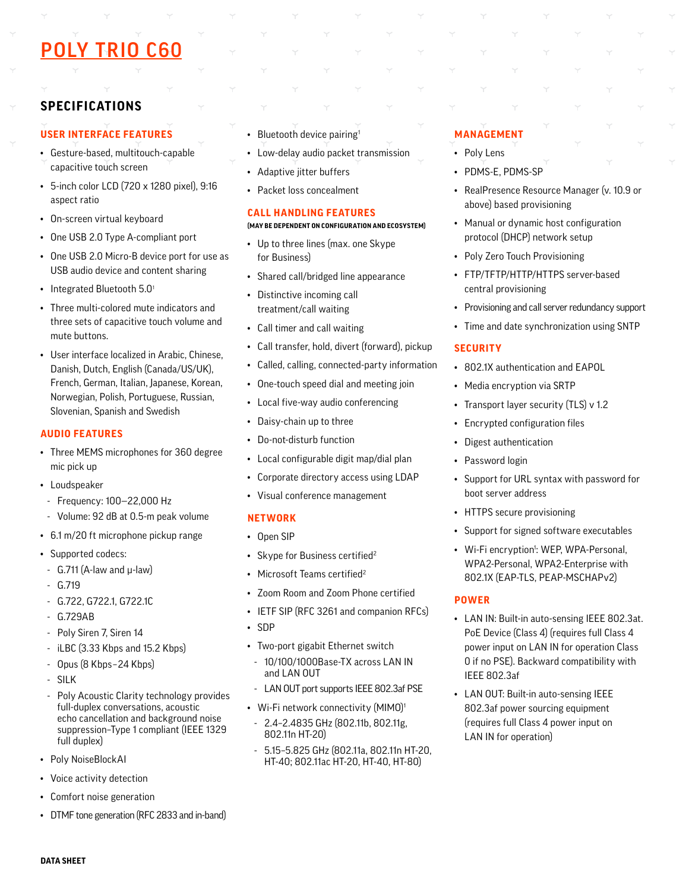# POLY TRIO C60

# **SPECIFICATIONS**

# **USER INTERFACE FEATURES**

- Gesture-based, multitouch-capable capacitive touch screen
- 5-inch color LCD (720 x 1280 pixel), 9:16 aspect ratio
- On-screen virtual keyboard
- One USB 2.0 Type A-compliant port
- One USB 2.0 Micro-B device port for use as USB audio device and content sharing
- Integrated Bluetooth 5.0<sup>1</sup>
- Three multi-colored mute indicators and three sets of capacitive touch volume and mute buttons.
- User interface localized in Arabic, Chinese, Danish, Dutch, English (Canada/US/UK), French, German, Italian, Japanese, Korean, Norwegian, Polish, Portuguese, Russian, Slovenian, Spanish and Swedish

# **AUDIO FEATURES**

- Three MEMS microphones for 360 degree mic pick up
- Loudspeaker
	- Frequency: 100—22,000 Hz
- Volume: 92 dB at 0.5-m peak volume
- 6.1 m/20 ft microphone pickup range
- Supported codecs:
- G.711 (A-law and  $\mu$ -law)
- G.719
- G.722, G722.1, G722.1C
- G.729AB
- Poly Siren 7, Siren 14
- iLBC (3.33 Kbps and 15.2 Kbps)
- Opus (8 Kbps–24 Kbps)
- SILK
- Poly Acoustic Clarity technology provides full-duplex conversations, acoustic echo cancellation and background noise suppression–Type 1 compliant (IEEE 1329 full duplex)
- Poly NoiseBlockAI
- Voice activity detection
- Comfort noise generation
- DTMF tone generation (RFC 2833 and in-band)
- Bluetooth device pairing<sup>1</sup>
- Low-delay audio packet transmission
- Adaptive jitter buffers
- Packet loss concealment

# **CALL HANDLING FEATURES**

#### **(MAY BE DEPENDENT ON CONFIGURATION AND ECOSYSTEM)**

- Up to three lines (max. one Skype for Business)
- Shared call/bridged line appearance
- Distinctive incoming call treatment/call waiting
- Call timer and call waiting
- Call transfer, hold, divert (forward), pickup
- Called, calling, connected-party information
- One-touch speed dial and meeting join
- Local five-way audio conferencing
- Daisy-chain up to three
- Do-not-disturb function
- Local configurable digit map/dial plan
- Corporate directory access using LDAP
- Visual conference management

# **NETWORK**

- Open SIP
- Skype for Business certified<sup>2</sup>
- Microsoft Teams certified<sup>2</sup>
- Zoom Room and Zoom Phone certified
- IETF SIP (RFC 3261 and companion RFCs)
- SDP
- Two-port gigabit Ethernet switch
- 10/100/1000Base-TX across LAN IN and LAN OUT
- LAN OUT port supports IEEE 802.3af PSE
- Wi-Fi network connectivity (MIMO)<sup>1</sup>
- 2.4–2.4835 GHz (802.11b, 802.11g, 802.11n HT-20)
- 5.15–5.825 GHz (802.11a, 802.11n HT-20, HT-40; 802.11ac HT-20, HT-40, HT-80)

# **MANAGEMENT**

- Poly Lens
- PDMS-E, PDMS-SP
- RealPresence Resource Manager (v. 10.9 or above) based provisioning
- Manual or dynamic host configuration protocol (DHCP) network setup
- Poly Zero Touch Provisioning
- FTP/TFTP/HTTP/HTTPS server-based central provisioning
- Provisioning and call server redundancy support
- Time and date synchronization using SNTP

# **SECURITY**

- 802.1X authentication and EAPOL
- Media encryption via SRTP
- Transport layer security (TLS) v 1.2
- Encrypted configuration files
- Digest authentication
- Password login
- Support for URL syntax with password for boot server address
- HTTPS secure provisioning
- Support for signed software executables
- Wi-Fi encryption<sup>1</sup>: WEP, WPA-Personal, WPA2-Personal, WPA2-Enterprise with 802.1X (EAP-TLS, PEAP-MSCHAPv2)

# **POWER**

- LAN IN: Built-in auto-sensing IEEE 802.3at. PoE Device (Class 4) (requires full Class 4 power input on LAN IN for operation Class 0 if no PSE). Backward compatibility with IEEE 802.3af
- LAN OUT: Built-in auto-sensing IEEE 802.3af power sourcing equipment (requires full Class 4 power input on LAN IN for operation)